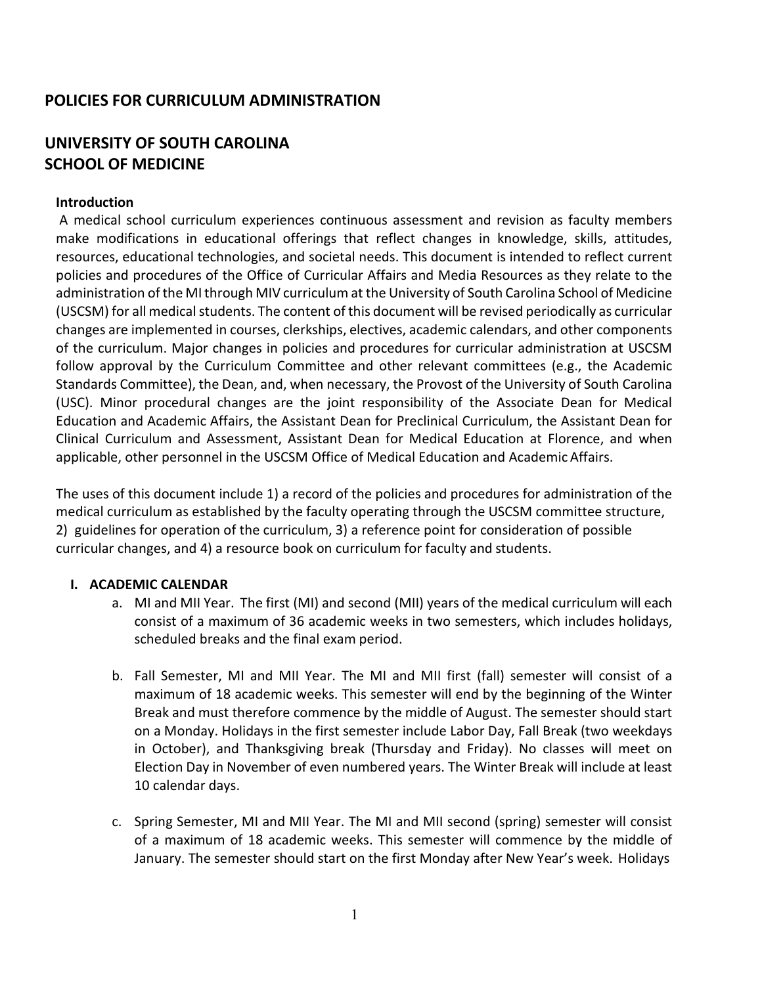## **POLICIES FOR CURRICULUM ADMINISTRATION**

# **UNIVERSITY OF SOUTH CAROLINA SCHOOL OF MEDICINE**

### **Introduction**

A medical school curriculum experiences continuous assessment and revision as faculty members make modifications in educational offerings that reflect changes in knowledge, skills, attitudes, resources, educational technologies, and societal needs. This document is intended to reflect current policies and procedures of the Office of Curricular Affairs and Media Resources as they relate to the administration of the MI through MIV curriculum at the University of South Carolina School of Medicine (USCSM) for all medical students. The content of this document will be revised periodically as curricular changes are implemented in courses, clerkships, electives, academic calendars, and other components of the curriculum. Major changes in policies and procedures for curricular administration at USCSM follow approval by the Curriculum Committee and other relevant committees (e.g., the Academic Standards Committee), the Dean, and, when necessary, the Provost of the University of South Carolina (USC). Minor procedural changes are the joint responsibility of the Associate Dean for Medical Education and Academic Affairs, the Assistant Dean for Preclinical Curriculum, the Assistant Dean for Clinical Curriculum and Assessment, Assistant Dean for Medical Education at Florence, and when applicable, other personnel in the USCSM Office of Medical Education and Academic Affairs.

The uses of this document include 1) a record of the policies and procedures for administration of the medical curriculum as established by the faculty operating through the USCSM committee structure, 2) guidelines for operation of the curriculum, 3) a reference point for consideration of possible curricular changes, and 4) a resource book on curriculum for faculty and students.

### **I. ACADEMIC CALENDAR**

- a. MI and MII Year. The first (MI) and second (MII) years of the medical curriculum will each consist of a maximum of 36 academic weeks in two semesters, which includes holidays, scheduled breaks and the final exam period.
- b. Fall Semester, MI and MII Year. The MI and MII first (fall) semester will consist of a maximum of 18 academic weeks. This semester will end by the beginning of the Winter Break and must therefore commence by the middle of August. The semester should start on a Monday. Holidays in the first semester include Labor Day, Fall Break (two weekdays in October), and Thanksgiving break (Thursday and Friday). No classes will meet on Election Day in November of even numbered years. The Winter Break will include at least 10 calendar days.
- c. Spring Semester, MI and MII Year. The MI and MII second (spring) semester will consist of a maximum of 18 academic weeks. This semester will commence by the middle of January. The semester should start on the first Monday after New Year's week. Holidays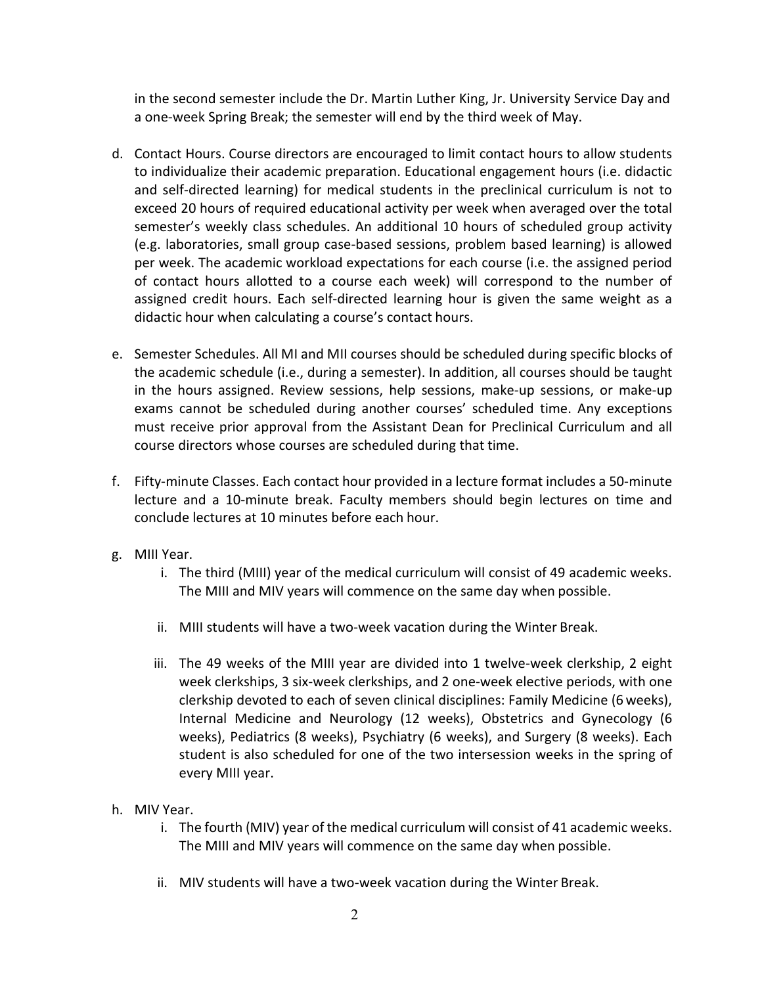in the second semester include the Dr. Martin Luther King, Jr. University Service Day and a one-week Spring Break; the semester will end by the third week of May.

- d. Contact Hours. Course directors are encouraged to limit contact hours to allow students to individualize their academic preparation. Educational engagement hours (i.e. didactic and self-directed learning) for medical students in the preclinical curriculum is not to exceed 20 hours of required educational activity per week when averaged over the total semester's weekly class schedules. An additional 10 hours of scheduled group activity (e.g. laboratories, small group case-based sessions, problem based learning) is allowed per week. The academic workload expectations for each course (i.e. the assigned period of contact hours allotted to a course each week) will correspond to the number of assigned credit hours. Each self-directed learning hour is given the same weight as a didactic hour when calculating a course's contact hours.
- e. Semester Schedules. All MI and MII courses should be scheduled during specific blocks of the academic schedule (i.e., during a semester). In addition, all courses should be taught in the hours assigned. Review sessions, help sessions, make-up sessions, or make-up exams cannot be scheduled during another courses' scheduled time. Any exceptions must receive prior approval from the Assistant Dean for Preclinical Curriculum and all course directors whose courses are scheduled during that time.
- f. Fifty-minute Classes. Each contact hour provided in a lecture format includes a 50-minute lecture and a 10-minute break. Faculty members should begin lectures on time and conclude lectures at 10 minutes before each hour.
- g. MIII Year.
	- i. The third (MIII) year of the medical curriculum will consist of 49 academic weeks. The MIII and MIV years will commence on the same day when possible.
	- ii. MIII students will have a two-week vacation during the Winter Break.
	- iii. The 49 weeks of the MIII year are divided into 1 twelve-week clerkship, 2 eight week clerkships, 3 six-week clerkships, and 2 one-week elective periods, with one clerkship devoted to each of seven clinical disciplines: Family Medicine (6 weeks), Internal Medicine and Neurology (12 weeks), Obstetrics and Gynecology (6 weeks), Pediatrics (8 weeks), Psychiatry (6 weeks), and Surgery (8 weeks). Each student is also scheduled for one of the two intersession weeks in the spring of every MIII year.
- h. MIV Year.
	- i. The fourth (MIV) year of the medical curriculum will consist of 41 academic weeks. The MIII and MIV years will commence on the same day when possible.
	- ii. MIV students will have a two-week vacation during the Winter Break.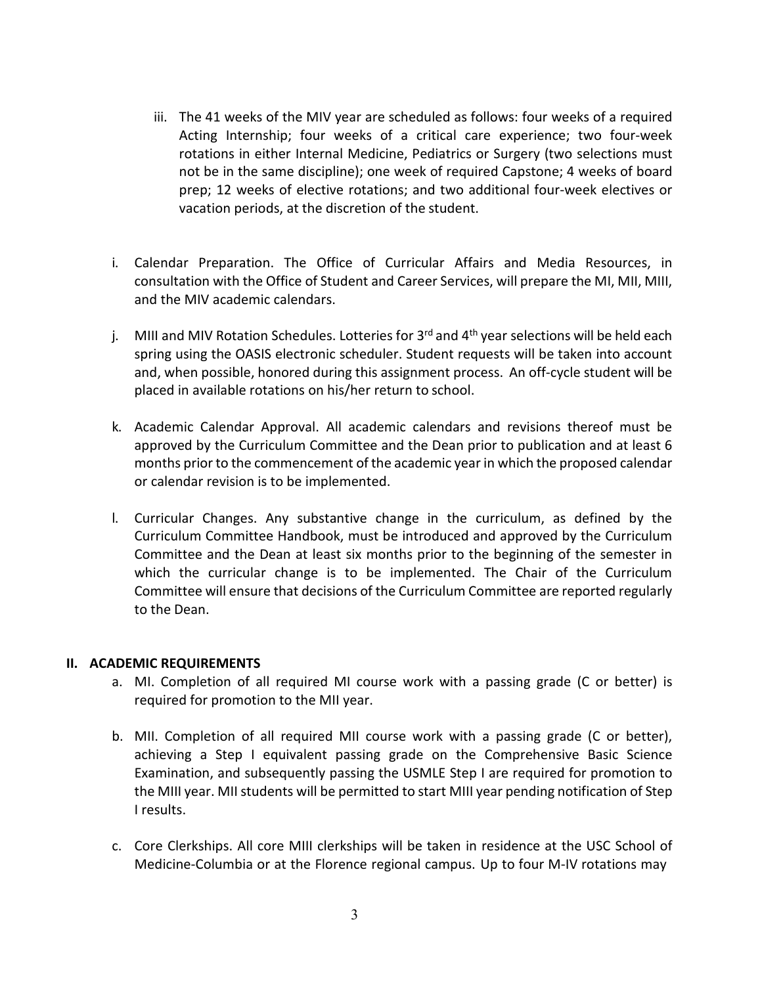- iii. The 41 weeks of the MIV year are scheduled as follows: four weeks of a required Acting Internship; four weeks of a critical care experience; two four-week rotations in either Internal Medicine, Pediatrics or Surgery (two selections must not be in the same discipline); one week of required Capstone; 4 weeks of board prep; 12 weeks of elective rotations; and two additional four-week electives or vacation periods, at the discretion of the student.
- i. Calendar Preparation. The Office of Curricular Affairs and Media Resources, in consultation with the Office of Student and Career Services, will prepare the MI, MII, MIII, and the MIV academic calendars.
- j. MIII and MIV Rotation Schedules. Lotteries for  $3<sup>rd</sup>$  and  $4<sup>th</sup>$  year selections will be held each spring using the OASIS electronic scheduler. Student requests will be taken into account and, when possible, honored during this assignment process. An off-cycle student will be placed in available rotations on his/her return to school.
- k. Academic Calendar Approval. All academic calendars and revisions thereof must be approved by the Curriculum Committee and the Dean prior to publication and at least 6 months prior to the commencement of the academic year in which the proposed calendar or calendar revision is to be implemented.
- l. Curricular Changes. Any substantive change in the curriculum, as defined by the Curriculum Committee Handbook, must be introduced and approved by the Curriculum Committee and the Dean at least six months prior to the beginning of the semester in which the curricular change is to be implemented. The Chair of the Curriculum Committee will ensure that decisions of the Curriculum Committee are reported regularly to the Dean.

### **II. ACADEMIC REQUIREMENTS**

- a. MI. Completion of all required MI course work with a passing grade (C or better) is required for promotion to the MII year.
- b. MII. Completion of all required MII course work with a passing grade (C or better), achieving a Step I equivalent passing grade on the Comprehensive Basic Science Examination, and subsequently passing the USMLE Step I are required for promotion to the MIII year. MII students will be permitted to start MIII year pending notification of Step I results.
- c. Core Clerkships. All core MIII clerkships will be taken in residence at the USC School of Medicine-Columbia or at the Florence regional campus. Up to four M-IV rotations may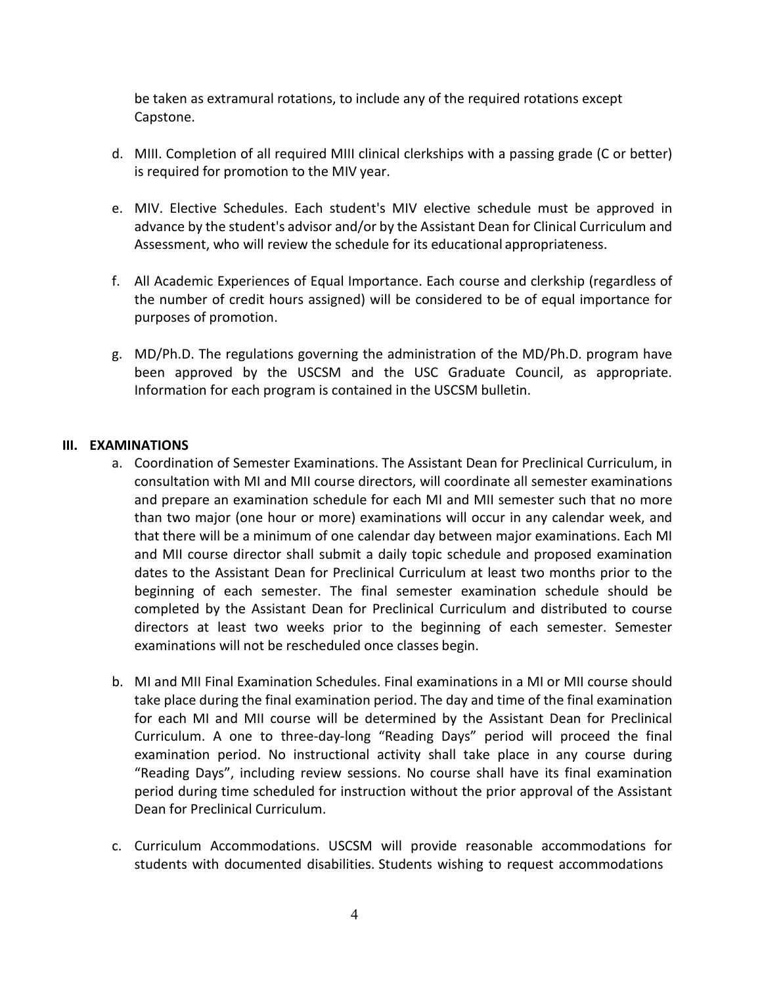be taken as extramural rotations, to include any of the required rotations except Capstone.

- d. MIII. Completion of all required MIII clinical clerkships with a passing grade (C or better) is required for promotion to the MIV year.
- e. MIV. Elective Schedules. Each student's MIV elective schedule must be approved in advance by the student's advisor and/or by the Assistant Dean for Clinical Curriculum and Assessment, who will review the schedule for its educational appropriateness.
- f. All Academic Experiences of Equal Importance. Each course and clerkship (regardless of the number of credit hours assigned) will be considered to be of equal importance for purposes of promotion.
- g. MD/Ph.D. The regulations governing the administration of the MD/Ph.D. program have been approved by the USCSM and the USC Graduate Council, as appropriate. Information for each program is contained in the USCSM bulletin.

### **III. EXAMINATIONS**

- a. Coordination of Semester Examinations. The Assistant Dean for Preclinical Curriculum, in consultation with MI and MII course directors, will coordinate all semester examinations and prepare an examination schedule for each MI and MII semester such that no more than two major (one hour or more) examinations will occur in any calendar week, and that there will be a minimum of one calendar day between major examinations. Each MI and MII course director shall submit a daily topic schedule and proposed examination dates to the Assistant Dean for Preclinical Curriculum at least two months prior to the beginning of each semester. The final semester examination schedule should be completed by the Assistant Dean for Preclinical Curriculum and distributed to course directors at least two weeks prior to the beginning of each semester. Semester examinations will not be rescheduled once classes begin.
- b. MI and MII Final Examination Schedules. Final examinations in a MI or MII course should take place during the final examination period. The day and time of the final examination for each MI and MII course will be determined by the Assistant Dean for Preclinical Curriculum. A one to three-day-long "Reading Days" period will proceed the final examination period. No instructional activity shall take place in any course during "Reading Days", including review sessions. No course shall have its final examination period during time scheduled for instruction without the prior approval of the Assistant Dean for Preclinical Curriculum.
- c. Curriculum Accommodations. USCSM will provide reasonable accommodations for students with documented disabilities. Students wishing to request accommodations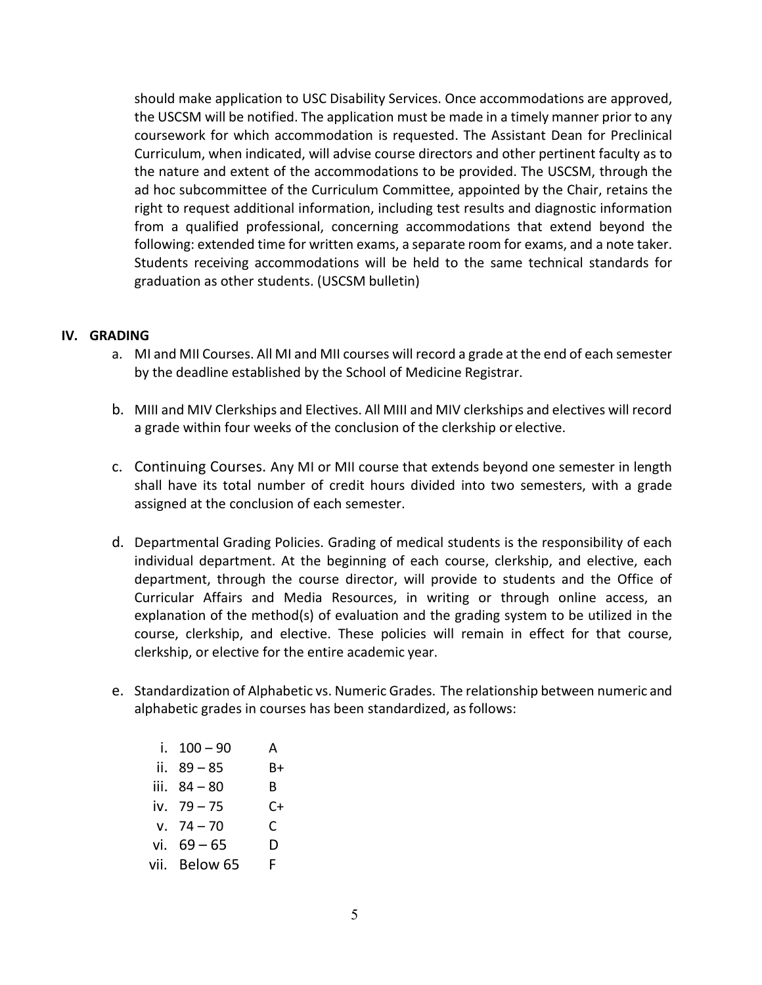should make application to USC Disability Services. Once accommodations are approved, the USCSM will be notified. The application must be made in a timely manner prior to any coursework for which accommodation is requested. The Assistant Dean for Preclinical Curriculum, when indicated, will advise course directors and other pertinent faculty as to the nature and extent of the accommodations to be provided. The USCSM, through the ad hoc subcommittee of the Curriculum Committee, appointed by the Chair, retains the right to request additional information, including test results and diagnostic information from a qualified professional, concerning accommodations that extend beyond the following: extended time for written exams, a separate room for exams, and a note taker. Students receiving accommodations will be held to the same technical standards for graduation as other students. (USCSM bulletin)

#### **IV. GRADING**

- a. MI and MII Courses. All MI and MII courses will record a grade at the end of each semester by the deadline established by the School of Medicine Registrar.
- b. MIII and MIV Clerkships and Electives. All MIII and MIV clerkships and electives will record a grade within four weeks of the conclusion of the clerkship or elective.
- c. Continuing Courses. Any MI or MII course that extends beyond one semester in length shall have its total number of credit hours divided into two semesters, with a grade assigned at the conclusion of each semester.
- d. Departmental Grading Policies. Grading of medical students is the responsibility of each individual department. At the beginning of each course, clerkship, and elective, each department, through the course director, will provide to students and the Office of Curricular Affairs and Media Resources, in writing or through online access, an explanation of the method(s) of evaluation and the grading system to be utilized in the course, clerkship, and elective. These policies will remain in effect for that course, clerkship, or elective for the entire academic year.
- e. Standardization of Alphabetic vs. Numeric Grades. The relationship between numeric and alphabetic grades in courses has been standardized, asfollows:

| i. $100 - 90$ | A  |
|---------------|----|
| ii. $89 - 85$ | B+ |
| iii. 84–80    | B. |
| iv. $79 - 75$ | C+ |
| v. $74 - 70$  | C. |
| vi. $69 - 65$ | D  |
| vii. Below 65 | F. |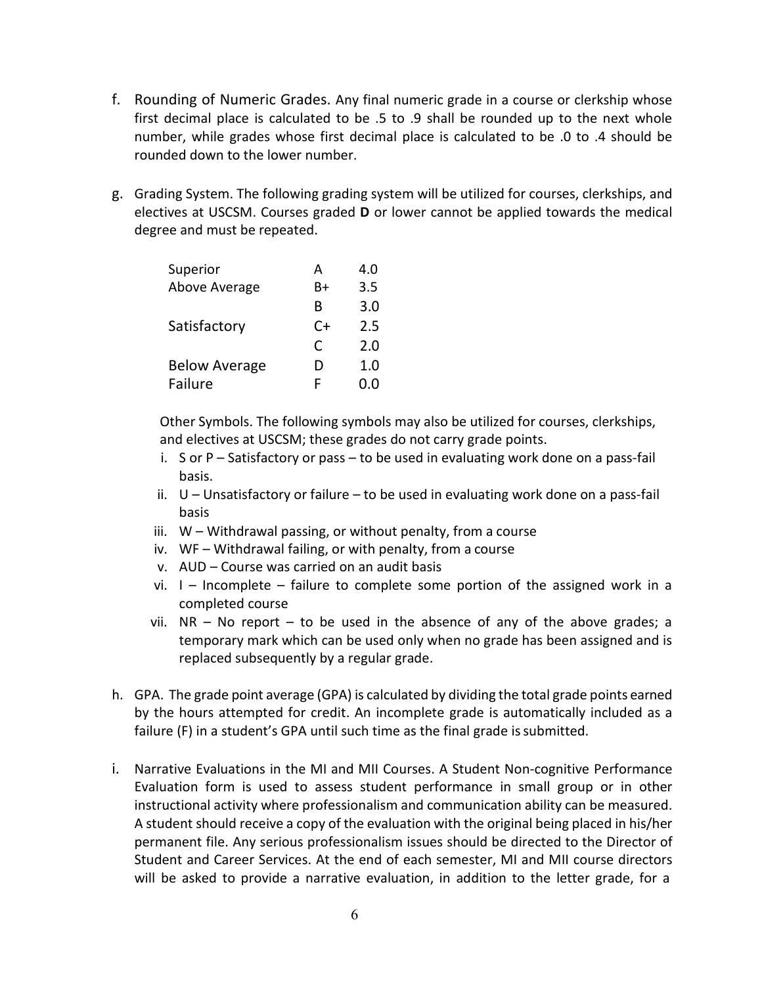- f. Rounding of Numeric Grades. Any final numeric grade in a course or clerkship whose first decimal place is calculated to be .5 to .9 shall be rounded up to the next whole number, while grades whose first decimal place is calculated to be .0 to .4 should be rounded down to the lower number.
- g. Grading System. The following grading system will be utilized for courses, clerkships, and electives at USCSM. Courses graded **D** or lower cannot be applied towards the medical degree and must be repeated.

| Superior             | А  | 4.0 |
|----------------------|----|-----|
| Above Average        | B+ | 3.5 |
|                      | B  | 3.0 |
| Satisfactory         | C+ | 2.5 |
|                      | C  | 2.0 |
| <b>Below Average</b> | D  | 1.0 |
| Failure              | F  | 0.0 |

Other Symbols. The following symbols may also be utilized for courses, clerkships, and electives at USCSM; these grades do not carry grade points.

- i. S or P Satisfactory or pass to be used in evaluating work done on a pass-fail basis.
- ii. U Unsatisfactory or failure to be used in evaluating work done on a pass-fail basis
- iii. W Withdrawal passing, or without penalty, from a course
- iv. WF Withdrawal failing, or with penalty, from a course
- v. AUD Course was carried on an audit basis
- vi. I Incomplete failure to complete some portion of the assigned work in a completed course
- vii.  $NR No$  report to be used in the absence of any of the above grades; a temporary mark which can be used only when no grade has been assigned and is replaced subsequently by a regular grade.
- h. GPA. The grade point average (GPA) is calculated by dividing the total grade points earned by the hours attempted for credit. An incomplete grade is automatically included as a failure (F) in a student's GPA until such time as the final grade is submitted.
- i. Narrative Evaluations in the MI and MII Courses. A Student Non-cognitive Performance Evaluation form is used to assess student performance in small group or in other instructional activity where professionalism and communication ability can be measured. A student should receive a copy of the evaluation with the original being placed in his/her permanent file. Any serious professionalism issues should be directed to the Director of Student and Career Services. At the end of each semester, MI and MII course directors will be asked to provide a narrative evaluation, in addition to the letter grade, for a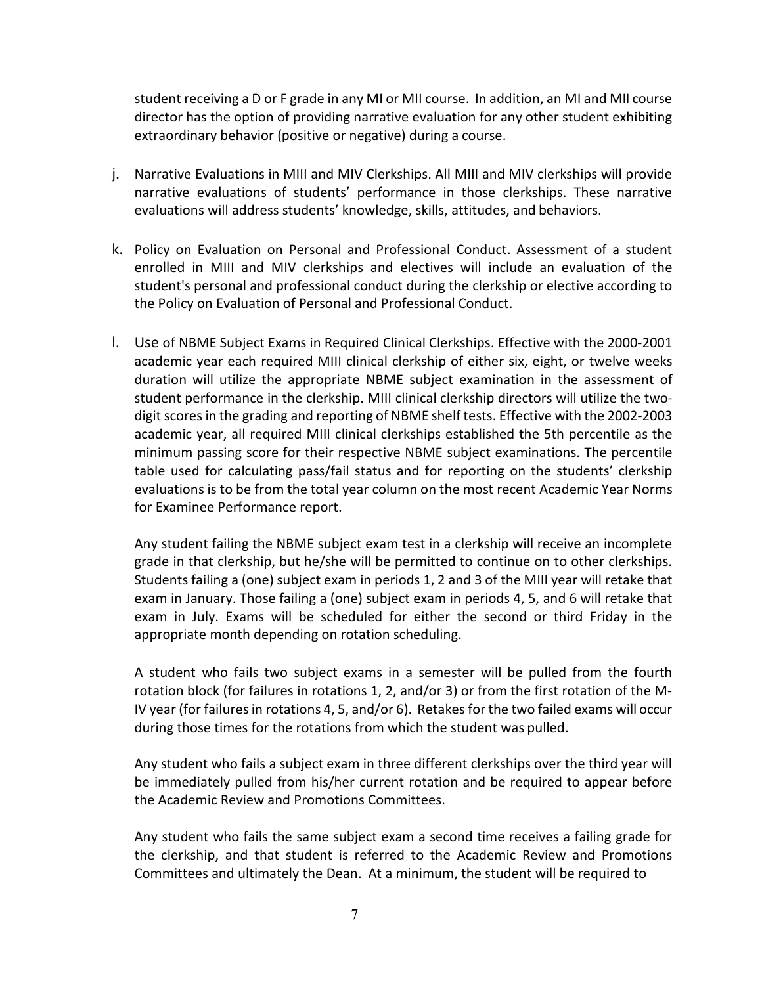student receiving a D or F grade in any MI or MII course. In addition, an MI and MII course director has the option of providing narrative evaluation for any other student exhibiting extraordinary behavior (positive or negative) during a course.

- j. Narrative Evaluations in MIII and MIV Clerkships. All MIII and MIV clerkships will provide narrative evaluations of students' performance in those clerkships. These narrative evaluations will address students' knowledge, skills, attitudes, and behaviors.
- k. Policy on Evaluation on Personal and Professional Conduct. Assessment of a student enrolled in MIII and MIV clerkships and electives will include an evaluation of the student's personal and professional conduct during the clerkship or elective according to the Policy on Evaluation of Personal and Professional Conduct.
- l. Use of NBME Subject Exams in Required Clinical Clerkships. Effective with the 2000-2001 academic year each required MIII clinical clerkship of either six, eight, or twelve weeks duration will utilize the appropriate NBME subject examination in the assessment of student performance in the clerkship. MIII clinical clerkship directors will utilize the twodigit scores in the grading and reporting of NBME shelf tests. Effective with the 2002-2003 academic year, all required MIII clinical clerkships established the 5th percentile as the minimum passing score for their respective NBME subject examinations. The percentile table used for calculating pass/fail status and for reporting on the students' clerkship evaluations is to be from the total year column on the most recent Academic Year Norms for Examinee Performance report.

Any student failing the NBME subject exam test in a clerkship will receive an incomplete grade in that clerkship, but he/she will be permitted to continue on to other clerkships. Students failing a (one) subject exam in periods 1, 2 and 3 of the MIII year will retake that exam in January. Those failing a (one) subject exam in periods 4, 5, and 6 will retake that exam in July. Exams will be scheduled for either the second or third Friday in the appropriate month depending on rotation scheduling.

A student who fails two subject exams in a semester will be pulled from the fourth rotation block (for failures in rotations 1, 2, and/or 3) or from the first rotation of the M-IV year (for failures in rotations 4, 5, and/or 6). Retakes for the two failed exams will occur during those times for the rotations from which the student was pulled.

Any student who fails a subject exam in three different clerkships over the third year will be immediately pulled from his/her current rotation and be required to appear before the Academic Review and Promotions Committees.

Any student who fails the same subject exam a second time receives a failing grade for the clerkship, and that student is referred to the Academic Review and Promotions Committees and ultimately the Dean. At a minimum, the student will be required to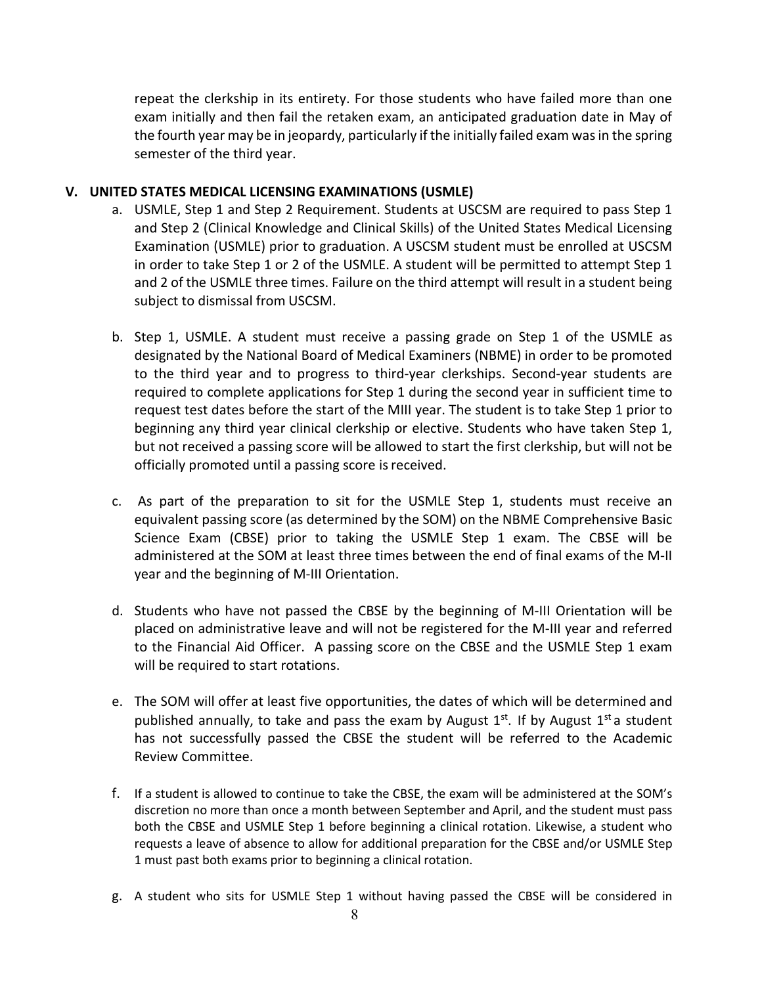repeat the clerkship in its entirety. For those students who have failed more than one exam initially and then fail the retaken exam, an anticipated graduation date in May of the fourth year may be in jeopardy, particularly if the initially failed exam was in the spring semester of the third year.

### **V. UNITED STATES MEDICAL LICENSING EXAMINATIONS (USMLE)**

- a. USMLE, Step 1 and Step 2 Requirement. Students at USCSM are required to pass Step 1 and Step 2 (Clinical Knowledge and Clinical Skills) of the United States Medical Licensing Examination (USMLE) prior to graduation. A USCSM student must be enrolled at USCSM in order to take Step 1 or 2 of the USMLE. A student will be permitted to attempt Step 1 and 2 of the USMLE three times. Failure on the third attempt will result in a student being subject to dismissal from USCSM.
- b. Step 1, USMLE. A student must receive a passing grade on Step 1 of the USMLE as designated by the National Board of Medical Examiners (NBME) in order to be promoted to the third year and to progress to third-year clerkships. Second-year students are required to complete applications for Step 1 during the second year in sufficient time to request test dates before the start of the MIII year. The student is to take Step 1 prior to beginning any third year clinical clerkship or elective. Students who have taken Step 1, but not received a passing score will be allowed to start the first clerkship, but will not be officially promoted until a passing score is received.
- c. As part of the preparation to sit for the USMLE Step 1, students must receive an equivalent passing score (as determined by the SOM) on the NBME Comprehensive Basic Science Exam (CBSE) prior to taking the USMLE Step 1 exam. The CBSE will be administered at the SOM at least three times between the end of final exams of the M-II year and the beginning of M-III Orientation.
- d. Students who have not passed the CBSE by the beginning of M-III Orientation will be placed on administrative leave and will not be registered for the M-III year and referred to the Financial Aid Officer. A passing score on the CBSE and the USMLE Step 1 exam will be required to start rotations.
- e. The SOM will offer at least five opportunities, the dates of which will be determined and published annually, to take and pass the exam by August  $1^{st}$ . If by August  $1^{st}$  a student has not successfully passed the CBSE the student will be referred to the Academic Review Committee.
- f. If a student is allowed to continue to take the CBSE, the exam will be administered at the SOM's discretion no more than once a month between September and April, and the student must pass both the CBSE and USMLE Step 1 before beginning a clinical rotation. Likewise, a student who requests a leave of absence to allow for additional preparation for the CBSE and/or USMLE Step 1 must past both exams prior to beginning a clinical rotation.
- g. A student who sits for USMLE Step 1 without having passed the CBSE will be considered in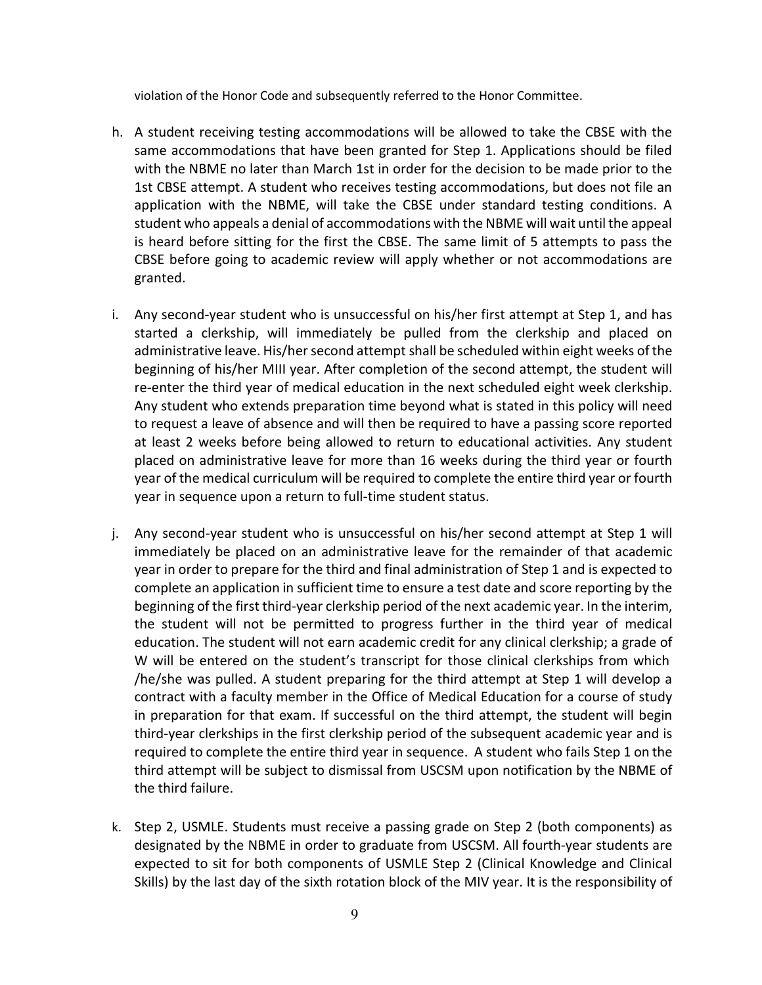violation of the Honor Code and subsequently referred to the Honor Committee.

- h. A student receiving testing accommodations will be allowed to take the CBSE with the same accommodations that have been granted for Step 1. Applications should be filed with the NBME no later than March 1st in order for the decision to be made prior to the 1st CBSE attempt. A student who receives testing accommodations, but does not file an application with the NBME, will take the CBSE under standard testing conditions. A student who appeals a denial of accommodations with the NBME will wait until the appeal is heard before sitting for the first the CBSE. The same limit of 5 attempts to pass the CBSE before going to academic review will apply whether or not accommodations are granted.
- i. Any second-year student who is unsuccessful on his/her first attempt at Step 1, and has started a clerkship, will immediately be pulled from the clerkship and placed on administrative leave. His/her second attempt shall be scheduled within eight weeks of the beginning of his/her MIII year. After completion of the second attempt, the student will re-enter the third year of medical education in the next scheduled eight week clerkship. Any student who extends preparation time beyond what is stated in this policy will need to request a leave of absence and will then be required to have a passing score reported at least 2 weeks before being allowed to return to educational activities. Any student placed on administrative leave for more than 16 weeks during the third year or fourth year of the medical curriculum will be required to complete the entire third year or fourth year in sequence upon a return to full-time student status.
- j. Any second-year student who is unsuccessful on his/her second attempt at Step 1 will immediately be placed on an administrative leave for the remainder of that academic year in order to prepare for the third and final administration of Step 1 and is expected to complete an application in sufficient time to ensure a test date and score reporting by the beginning of the first third-year clerkship period of the next academic year. In the interim, the student will not be permitted to progress further in the third year of medical education. The student will not earn academic credit for any clinical clerkship; a grade of W will be entered on the student's transcript for those clinical clerkships from which /he/she was pulled. A student preparing for the third attempt at Step 1 will develop a contract with a faculty member in the Office of Medical Education for a course of study in preparation for that exam. If successful on the third attempt, the student will begin third-year clerkships in the first clerkship period of the subsequent academic year and is required to complete the entire third year in sequence. A student who fails Step 1 on the third attempt will be subject to dismissal from USCSM upon notification by the NBME of the third failure.
- k. Step 2, USMLE. Students must receive a passing grade on Step 2 (both components) as designated by the NBME in order to graduate from USCSM. All fourth-year students are expected to sit for both components of USMLE Step 2 (Clinical Knowledge and Clinical Skills) by the last day of the sixth rotation block of the MIV year. It is the responsibility of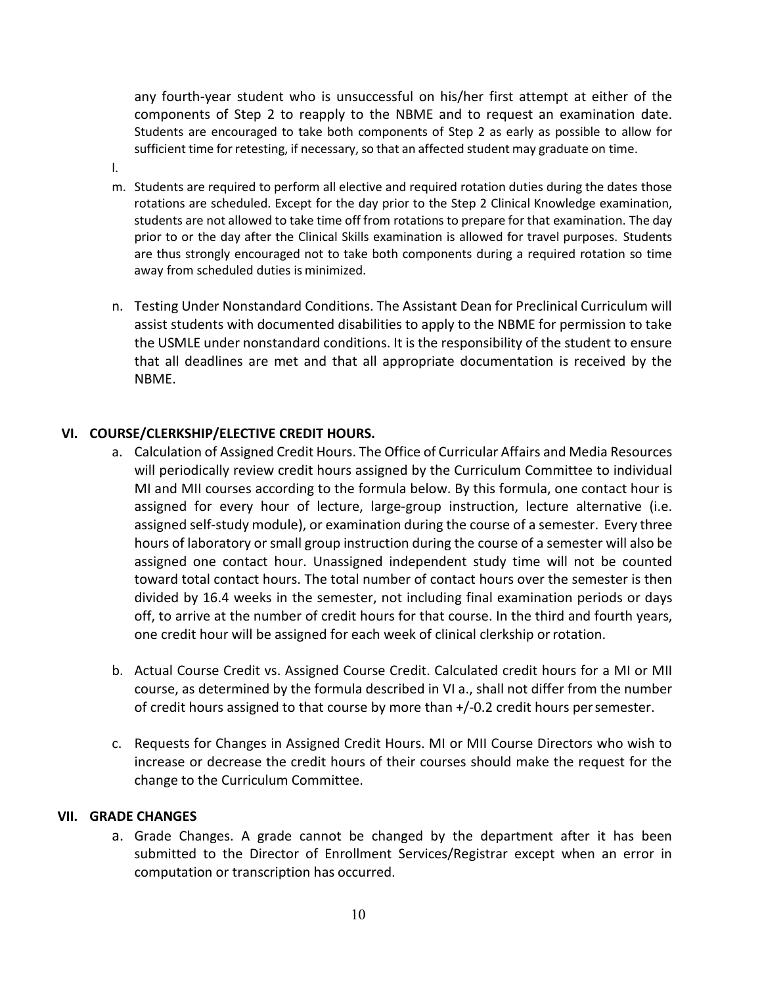any fourth-year student who is unsuccessful on his/her first attempt at either of the components of Step 2 to reapply to the NBME and to request an examination date. Students are encouraged to take both components of Step 2 as early as possible to allow for sufficient time for retesting, if necessary, so that an affected student may graduate on time.

l.

- m. Students are required to perform all elective and required rotation duties during the dates those rotations are scheduled. Except for the day prior to the Step 2 Clinical Knowledge examination, students are not allowed to take time off from rotations to prepare for that examination. The day prior to or the day after the Clinical Skills examination is allowed for travel purposes. Students are thus strongly encouraged not to take both components during a required rotation so time away from scheduled duties is minimized.
- n. Testing Under Nonstandard Conditions. The Assistant Dean for Preclinical Curriculum will assist students with documented disabilities to apply to the NBME for permission to take the USMLE under nonstandard conditions. It is the responsibility of the student to ensure that all deadlines are met and that all appropriate documentation is received by the NBME.

## **VI. COURSE/CLERKSHIP/ELECTIVE CREDIT HOURS.**

- a. Calculation of Assigned Credit Hours. The Office of Curricular Affairs and Media Resources will periodically review credit hours assigned by the Curriculum Committee to individual MI and MII courses according to the formula below. By this formula, one contact hour is assigned for every hour of lecture, large-group instruction, lecture alternative (i.e. assigned self-study module), or examination during the course of a semester. Every three hours of laboratory or small group instruction during the course of a semester will also be assigned one contact hour. Unassigned independent study time will not be counted toward total contact hours. The total number of contact hours over the semester is then divided by 16.4 weeks in the semester, not including final examination periods or days off, to arrive at the number of credit hours for that course. In the third and fourth years, one credit hour will be assigned for each week of clinical clerkship orrotation.
- b. Actual Course Credit vs. Assigned Course Credit. Calculated credit hours for a MI or MII course, as determined by the formula described in VI a., shall not differ from the number of credit hours assigned to that course by more than +/-0.2 credit hours persemester.
- c. Requests for Changes in Assigned Credit Hours. MI or MII Course Directors who wish to increase or decrease the credit hours of their courses should make the request for the change to the Curriculum Committee.

### **VII. GRADE CHANGES**

a. Grade Changes. A grade cannot be changed by the department after it has been submitted to the Director of Enrollment Services/Registrar except when an error in computation or transcription has occurred.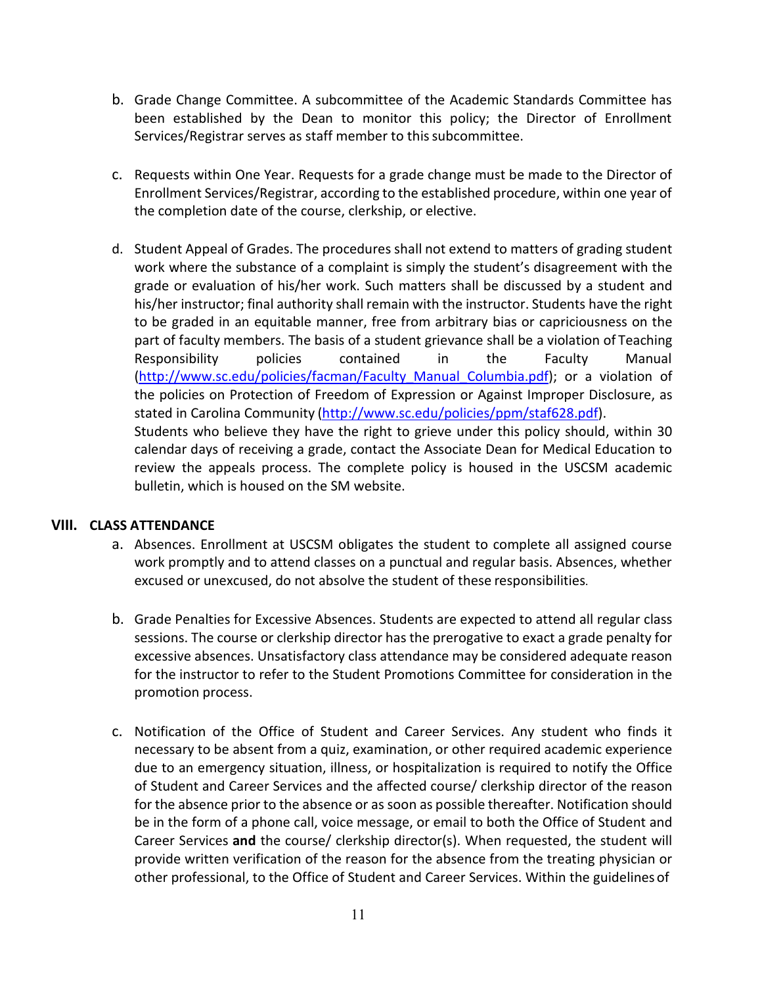- b. Grade Change Committee. A subcommittee of the Academic Standards Committee has been established by the Dean to monitor this policy; the Director of Enrollment Services/Registrar serves as staff member to this subcommittee.
- c. Requests within One Year. Requests for a grade change must be made to the Director of Enrollment Services/Registrar, according to the established procedure, within one year of the completion date of the course, clerkship, or elective.
- d. Student Appeal of Grades. The procedures shall not extend to matters of grading student work where the substance of a complaint is simply the student's disagreement with the grade or evaluation of his/her work. Such matters shall be discussed by a student and his/her instructor; final authority shall remain with the instructor. Students have the right to be graded in an equitable manner, free from arbitrary bias or capriciousness on the part of faculty members. The basis of a student grievance shall be a violation of Teaching Responsibility policies contained in the Faculty Manual [\(http://www.sc.edu/policies/facman/Faculty\\_Manual\\_Columbia.pdf\)](http://www.sc.edu/policies/facman/Faculty_Manual_Columbia.pdf); or a violation of the policies on Protection of Freedom of Expression or Against Improper Disclosure, as stated in Carolina Community [\(http://www.sc.edu/policies/ppm/staf628.pdf\)](http://www.sc.edu/policies/ppm/staf628.pdf). Students who believe they have the right to grieve under this policy should, within 30 calendar days of receiving a grade, contact the Associate Dean for Medical Education to review the appeals process. The complete policy is housed in the USCSM academic bulletin, which is housed on the SM website.

### **VIII. CLASS ATTENDANCE**

- a. Absences. Enrollment at USCSM obligates the student to complete all assigned course work promptly and to attend classes on a punctual and regular basis. Absences, whether excused or unexcused, do not absolve the student of these responsibilities.
- b. Grade Penalties for Excessive Absences. Students are expected to attend all regular class sessions. The course or clerkship director has the prerogative to exact a grade penalty for excessive absences. Unsatisfactory class attendance may be considered adequate reason for the instructor to refer to the Student Promotions Committee for consideration in the promotion process.
- c. Notification of the Office of Student and Career Services. Any student who finds it necessary to be absent from a quiz, examination, or other required academic experience due to an emergency situation, illness, or hospitalization is required to notify the Office of Student and Career Services and the affected course/ clerkship director of the reason for the absence prior to the absence or as soon as possible thereafter. Notification should be in the form of a phone call, voice message, or email to both the Office of Student and Career Services **and** the course/ clerkship director(s). When requested, the student will provide written verification of the reason for the absence from the treating physician or other professional, to the Office of Student and Career Services. Within the guidelinesof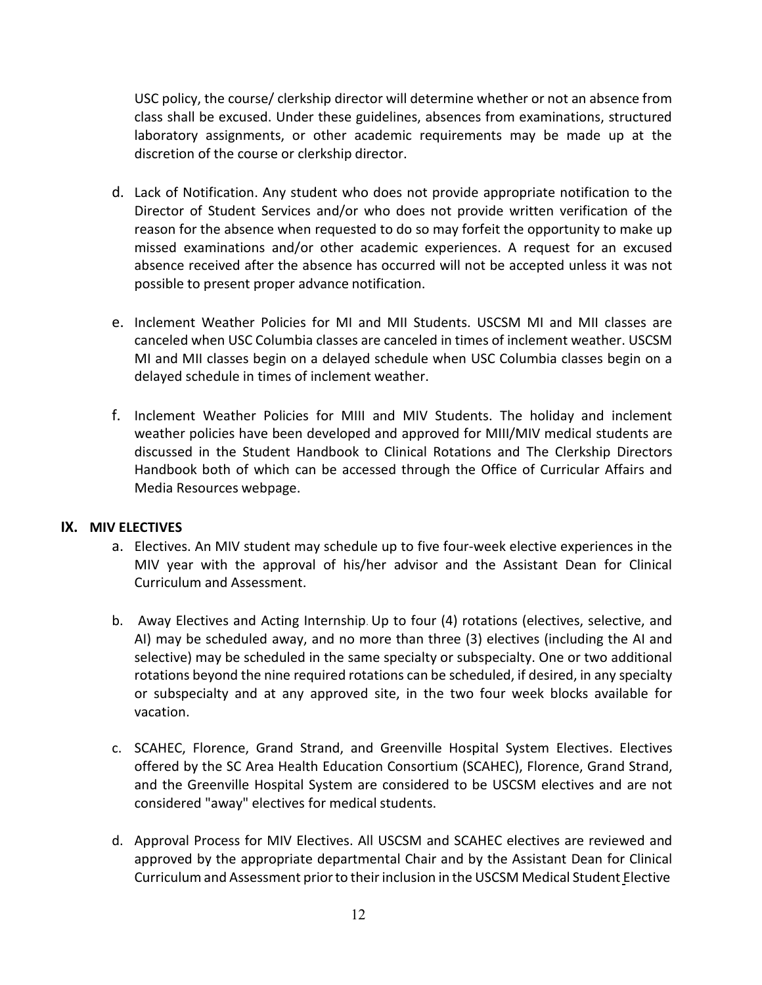USC policy, the course/ clerkship director will determine whether or not an absence from class shall be excused. Under these guidelines, absences from examinations, structured laboratory assignments, or other academic requirements may be made up at the discretion of the course or clerkship director.

- d. Lack of Notification. Any student who does not provide appropriate notification to the Director of Student Services and/or who does not provide written verification of the reason for the absence when requested to do so may forfeit the opportunity to make up missed examinations and/or other academic experiences. A request for an excused absence received after the absence has occurred will not be accepted unless it was not possible to present proper advance notification.
- e. Inclement Weather Policies for MI and MII Students. USCSM MI and MII classes are canceled when USC Columbia classes are canceled in times of inclement weather. USCSM MI and MII classes begin on a delayed schedule when USC Columbia classes begin on a delayed schedule in times of inclement weather.
- f. Inclement Weather Policies for MIII and MIV Students. The holiday and inclement weather policies have been developed and approved for MIII/MIV medical students are discussed in the Student Handbook to Clinical Rotations and The Clerkship Directors Handbook both of which can be accessed through the Office of Curricular Affairs and Media Resources webpage.

### **IX. MIV ELECTIVES**

- a. Electives. An MIV student may schedule up to five four-week elective experiences in the MIV year with the approval of his/her advisor and the Assistant Dean for Clinical Curriculum and Assessment.
- b. Away Electives and Acting Internship. Up to four (4) rotations (electives, selective, and AI) may be scheduled away, and no more than three (3) electives (including the AI and selective) may be scheduled in the same specialty or subspecialty. One or two additional rotations beyond the nine required rotations can be scheduled, if desired, in any specialty or subspecialty and at any approved site, in the two four week blocks available for vacation.
- c. SCAHEC, Florence, Grand Strand, and Greenville Hospital System Electives. Electives offered by the SC Area Health Education Consortium (SCAHEC), Florence, Grand Strand, and the Greenville Hospital System are considered to be USCSM electives and are not considered "away" electives for medical students.
- d. Approval Process for MIV Electives. All USCSM and SCAHEC electives are reviewed and approved by the appropriate departmental Chair and by the Assistant Dean for Clinical Curriculum and Assessment prior to their inclusion in the USCSM [Medical](http://electivecatalog.med.sc.edu/index.asp) Student Elective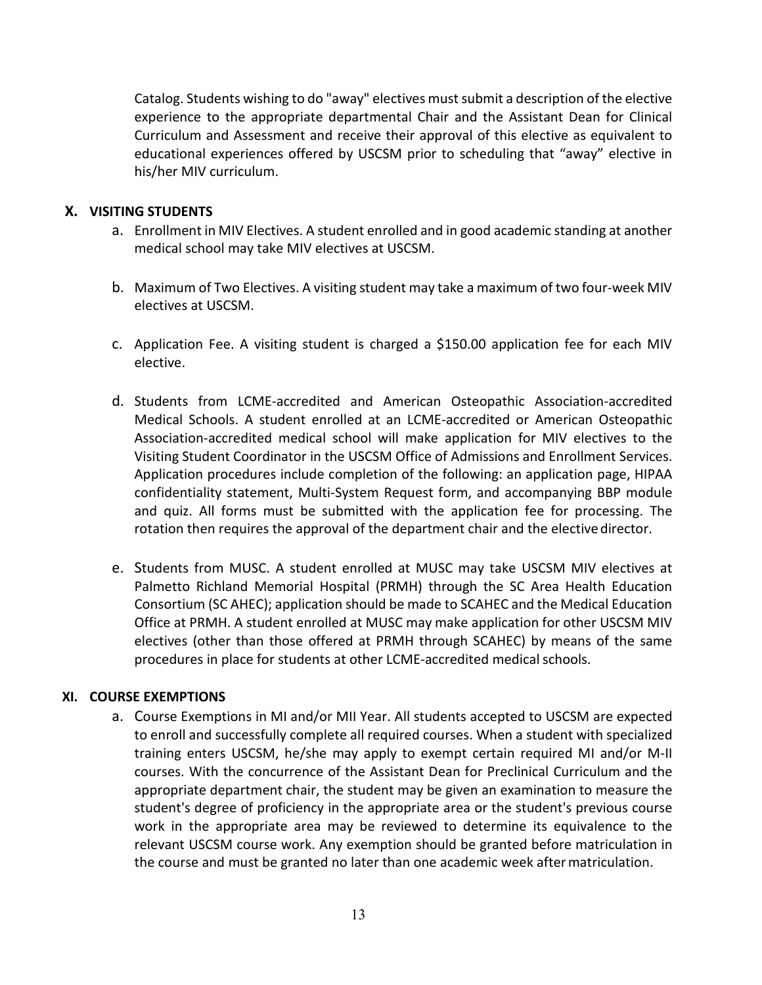[Catalog.](http://electivecatalog.med.sc.edu/index.asp) Students wishing to do "away" electives mustsubmit a description of the elective experience to the appropriate departmental Chair and the Assistant Dean for Clinical Curriculum and Assessment and receive their approval of this elective as equivalent to educational experiences offered by USCSM prior to scheduling that "away" elective in his/her MIV curriculum.

### **X. VISITING STUDENTS**

- a. Enrollment in MIV Electives. A student enrolled and in good academic standing at another medical school may take MIV electives at USCSM.
- b. Maximum of Two Electives. A visiting student may take a maximum of two four-week MIV electives at USCSM.
- c. Application Fee. A visiting student is charged a \$150.00 application fee for each MIV elective.
- d. Students from LCME-accredited and American Osteopathic Association-accredited Medical Schools. A student enrolled at an LCME-accredited or American Osteopathic Association-accredited medical school will make application for MIV electives to the Visiting Student Coordinator in the USCSM Office of Admissions and Enrollment Services. Application procedures include completion of the following: an application page, HIPAA confidentiality statement, Multi-System Request form, and accompanying BBP module and quiz. All forms must be submitted with the application fee for processing. The rotation then requires the approval of the department chair and the elective director.
- e. Students from MUSC. A student enrolled at MUSC may take USCSM MIV electives at Palmetto Richland Memorial Hospital (PRMH) through the SC Area Health Education Consortium (SC AHEC); application should be made to SCAHEC and the Medical Education Office at PRMH. A student enrolled at MUSC may make application for other USCSM MIV electives (other than those offered at PRMH through SCAHEC) by means of the same procedures in place for students at other LCME-accredited medical schools.

### **XI. COURSE EXEMPTIONS**

a. Course Exemptions in MI and/or MII Year. All students accepted to USCSM are expected to enroll and successfully complete all required courses. When a student with specialized training enters USCSM, he/she may apply to exempt certain required MI and/or M-II courses. With the concurrence of the Assistant Dean for Preclinical Curriculum and the appropriate department chair, the student may be given an examination to measure the student's degree of proficiency in the appropriate area or the student's previous course work in the appropriate area may be reviewed to determine its equivalence to the relevant USCSM course work. Any exemption should be granted before matriculation in the course and must be granted no later than one academic week aftermatriculation.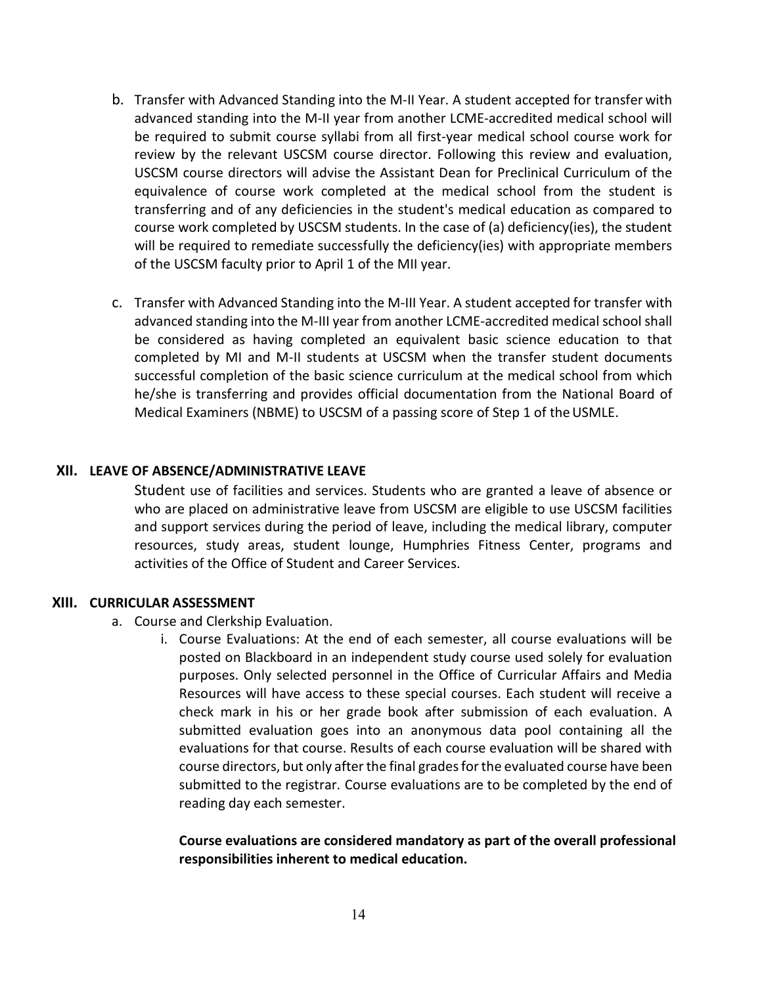- b. Transfer with Advanced Standing into the M-II Year. A student accepted for transfer with advanced standing into the M-II year from another LCME-accredited medical school will be required to submit course syllabi from all first-year medical school course work for review by the relevant USCSM course director. Following this review and evaluation, USCSM course directors will advise the Assistant Dean for Preclinical Curriculum of the equivalence of course work completed at the medical school from the student is transferring and of any deficiencies in the student's medical education as compared to course work completed by USCSM students. In the case of (a) deficiency(ies), the student will be required to remediate successfully the deficiency(ies) with appropriate members of the USCSM faculty prior to April 1 of the MII year.
- c. Transfer with Advanced Standing into the M-III Year. A student accepted for transfer with advanced standing into the M-III year from another LCME-accredited medical school shall be considered as having completed an equivalent basic science education to that completed by MI and M-II students at USCSM when the transfer student documents successful completion of the basic science curriculum at the medical school from which he/she is transferring and provides official documentation from the National Board of Medical Examiners (NBME) to USCSM of a passing score of Step 1 of the USMLE.

### **XII. LEAVE OF ABSENCE/ADMINISTRATIVE LEAVE**

Student use of facilities and services. Students who are granted a leave of absence or who are placed on administrative leave from USCSM are eligible to use USCSM facilities and support services during the period of leave, including the medical library, computer resources, study areas, student lounge, Humphries Fitness Center, programs and activities of the Office of Student and Career Services.

### **XIII. CURRICULAR ASSESSMENT**

- a. Course and Clerkship Evaluation.
	- i. Course Evaluations: At the end of each semester, all course evaluations will be posted on Blackboard in an independent study course used solely for evaluation purposes. Only selected personnel in the Office of Curricular Affairs and Media Resources will have access to these special courses. Each student will receive a check mark in his or her grade book after submission of each evaluation. A submitted evaluation goes into an anonymous data pool containing all the evaluations for that course. Results of each course evaluation will be shared with course directors, but only after the final grades for the evaluated course have been submitted to the registrar. Course evaluations are to be completed by the end of reading day each semester.

**Course evaluations are considered mandatory as part of the overall professional responsibilities inherent to medical education.**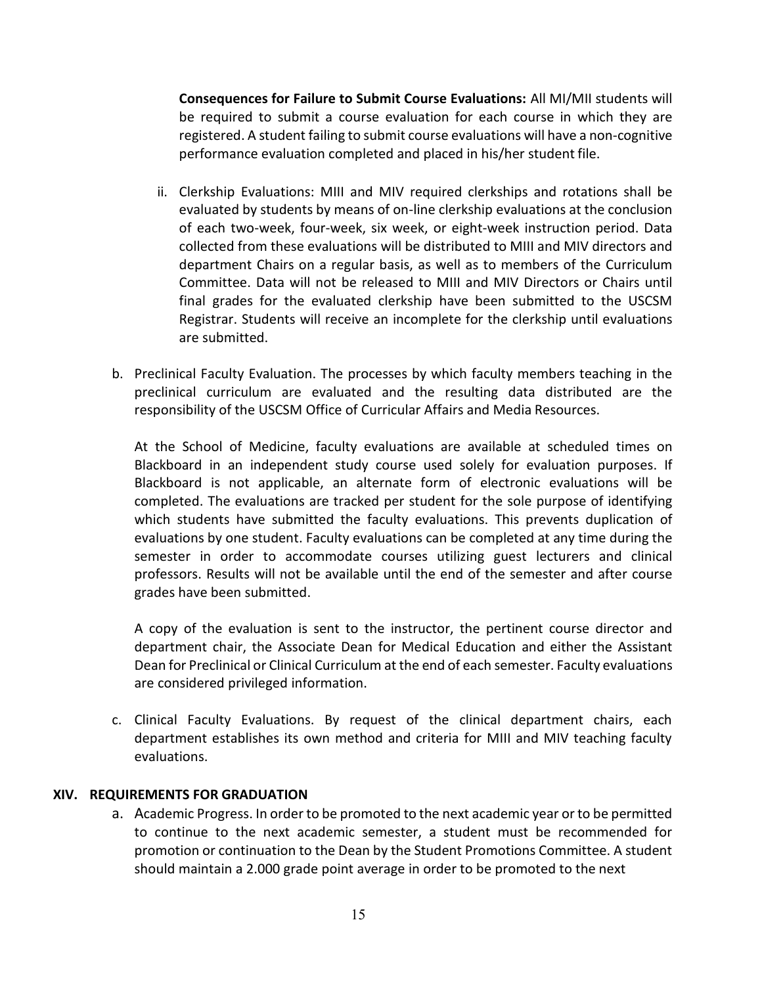**Consequences for Failure to Submit Course Evaluations:** All MI/MII students will be required to submit a course evaluation for each course in which they are registered. A student failing to submit course evaluations will have a non-cognitive performance evaluation completed and placed in his/her student file.

- ii. Clerkship Evaluations: MIII and MIV required clerkships and rotations shall be evaluated by students by means of on-line clerkship evaluations at the conclusion of each two-week, four-week, six week, or eight-week instruction period. Data collected from these evaluations will be distributed to MIII and MIV directors and department Chairs on a regular basis, as well as to members of the Curriculum Committee. Data will not be released to MIII and MIV Directors or Chairs until final grades for the evaluated clerkship have been submitted to the USCSM Registrar. Students will receive an incomplete for the clerkship until evaluations are submitted.
- b. Preclinical Faculty Evaluation. The processes by which faculty members teaching in the preclinical curriculum are evaluated and the resulting data distributed are the responsibility of the USCSM Office of Curricular Affairs and Media Resources.

At the School of Medicine, faculty evaluations are available at scheduled times on Blackboard in an independent study course used solely for evaluation purposes. If Blackboard is not applicable, an alternate form of electronic evaluations will be completed. The evaluations are tracked per student for the sole purpose of identifying which students have submitted the faculty evaluations. This prevents duplication of evaluations by one student. Faculty evaluations can be completed at any time during the semester in order to accommodate courses utilizing guest lecturers and clinical professors. Results will not be available until the end of the semester and after course grades have been submitted.

A copy of the evaluation is sent to the instructor, the pertinent course director and department chair, the Associate Dean for Medical Education and either the Assistant Dean for Preclinical or Clinical Curriculum at the end of each semester. Faculty evaluations are considered privileged information.

c. Clinical Faculty Evaluations. By request of the clinical department chairs, each department establishes its own method and criteria for MIII and MIV teaching faculty evaluations.

### **XIV. REQUIREMENTS FOR GRADUATION**

a. Academic Progress. In order to be promoted to the next academic year or to be permitted to continue to the next academic semester, a student must be recommended for promotion or continuation to the Dean by the Student Promotions Committee. A student should maintain a 2.000 grade point average in order to be promoted to the next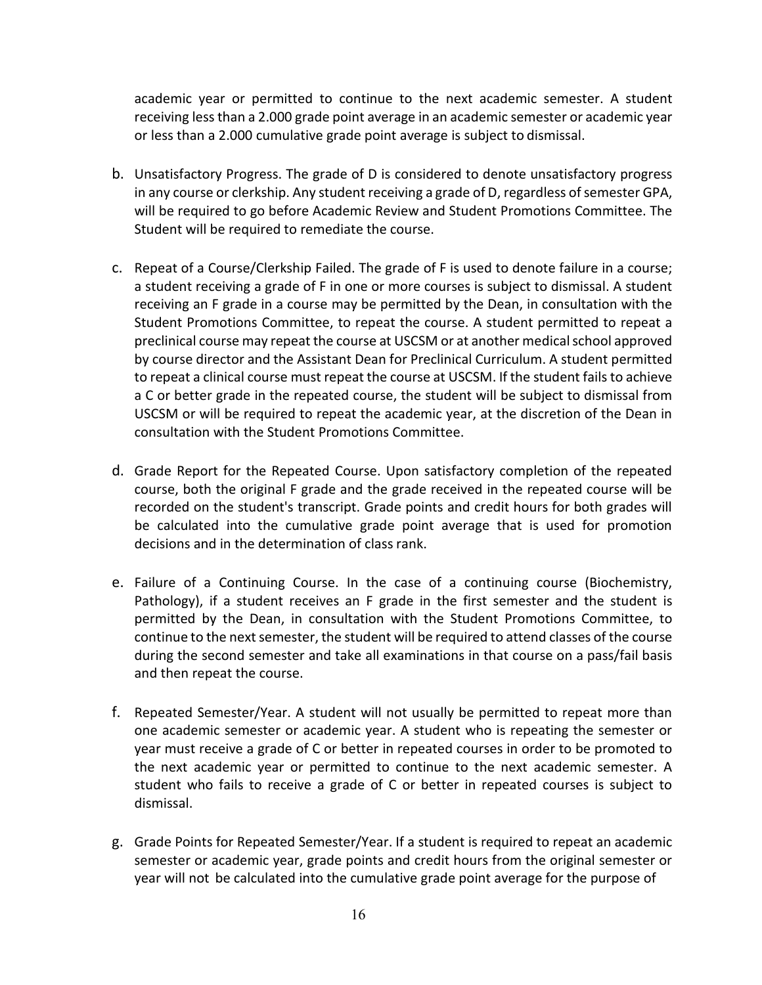academic year or permitted to continue to the next academic semester. A student receiving lessthan a 2.000 grade point average in an academic semester or academic year or less than a 2.000 cumulative grade point average is subject to dismissal.

- b. Unsatisfactory Progress. The grade of D is considered to denote unsatisfactory progress in any course or clerkship. Any student receiving a grade of D, regardless of semester GPA, will be required to go before Academic Review and Student Promotions Committee. The Student will be required to remediate the course.
- c. Repeat of a Course/Clerkship Failed. The grade of F is used to denote failure in a course; a student receiving a grade of F in one or more courses is subject to dismissal. A student receiving an F grade in a course may be permitted by the Dean, in consultation with the Student Promotions Committee, to repeat the course. A student permitted to repeat a preclinical course may repeat the course at USCSM or at another medical school approved by course director and the Assistant Dean for Preclinical Curriculum. A student permitted to repeat a clinical course must repeat the course at USCSM. If the student fails to achieve a C or better grade in the repeated course, the student will be subject to dismissal from USCSM or will be required to repeat the academic year, at the discretion of the Dean in consultation with the Student Promotions Committee.
- d. Grade Report for the Repeated Course. Upon satisfactory completion of the repeated course, both the original F grade and the grade received in the repeated course will be recorded on the student's transcript. Grade points and credit hours for both grades will be calculated into the cumulative grade point average that is used for promotion decisions and in the determination of class rank.
- e. Failure of a Continuing Course. In the case of a continuing course (Biochemistry, Pathology), if a student receives an F grade in the first semester and the student is permitted by the Dean, in consultation with the Student Promotions Committee, to continue to the next semester, the student will be required to attend classes of the course during the second semester and take all examinations in that course on a pass/fail basis and then repeat the course.
- f. Repeated Semester/Year. A student will not usually be permitted to repeat more than one academic semester or academic year. A student who is repeating the semester or year must receive a grade of C or better in repeated courses in order to be promoted to the next academic year or permitted to continue to the next academic semester. A student who fails to receive a grade of C or better in repeated courses is subject to dismissal.
- g. Grade Points for Repeated Semester/Year. If a student is required to repeat an academic semester or academic year, grade points and credit hours from the original semester or year will not be calculated into the cumulative grade point average for the purpose of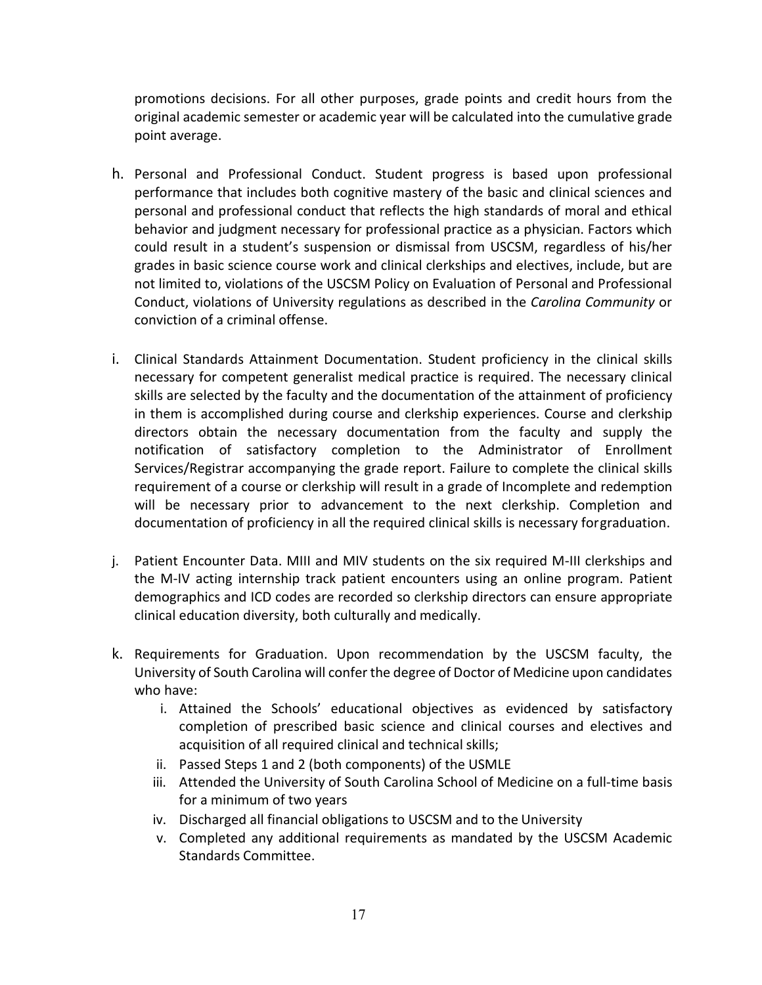promotions decisions. For all other purposes, grade points and credit hours from the original academic semester or academic year will be calculated into the cumulative grade point average.

- h. Personal and Professional Conduct. Student progress is based upon professional performance that includes both cognitive mastery of the basic and clinical sciences and personal and professional conduct that reflects the high standards of moral and ethical behavior and judgment necessary for professional practice as a physician. Factors which could result in a student's suspension or dismissal from USCSM, regardless of his/her grades in basic science course work and clinical clerkships and electives, include, but are not limited to, violations of the USCSM Policy on Evaluation of Personal and Professional Conduct, violations of University regulations as described in the *Carolina Community* or conviction of a criminal offense.
- i. Clinical Standards Attainment Documentation. Student proficiency in the clinical skills necessary for competent generalist medical practice is required. The necessary clinical skills are selected by the faculty and the documentation of the attainment of proficiency in them is accomplished during course and clerkship experiences. Course and clerkship directors obtain the necessary documentation from the faculty and supply the notification of satisfactory completion to the Administrator of Enrollment Services/Registrar accompanying the grade report. Failure to complete the clinical skills requirement of a course or clerkship will result in a grade of Incomplete and redemption will be necessary prior to advancement to the next clerkship. Completion and documentation of proficiency in all the required clinical skills is necessary forgraduation.
- j. Patient Encounter Data. MIII and MIV students on the six required M-III clerkships and the M-IV acting internship track patient encounters using an online program. Patient demographics and ICD codes are recorded so clerkship directors can ensure appropriate clinical education diversity, both culturally and medically.
- k. Requirements for Graduation. Upon recommendation by the USCSM faculty, the University of South Carolina will confer the degree of Doctor of Medicine upon candidates who have:
	- i. Attained the Schools' educational objectives as evidenced by satisfactory completion of prescribed basic science and clinical courses and electives and acquisition of all required clinical and technical skills;
	- ii. Passed Steps 1 and 2 (both components) of the USMLE
	- iii. Attended the University of South Carolina School of Medicine on a full-time basis for a minimum of two years
	- iv. Discharged all financial obligations to USCSM and to the University
	- v. Completed any additional requirements as mandated by the USCSM Academic Standards Committee.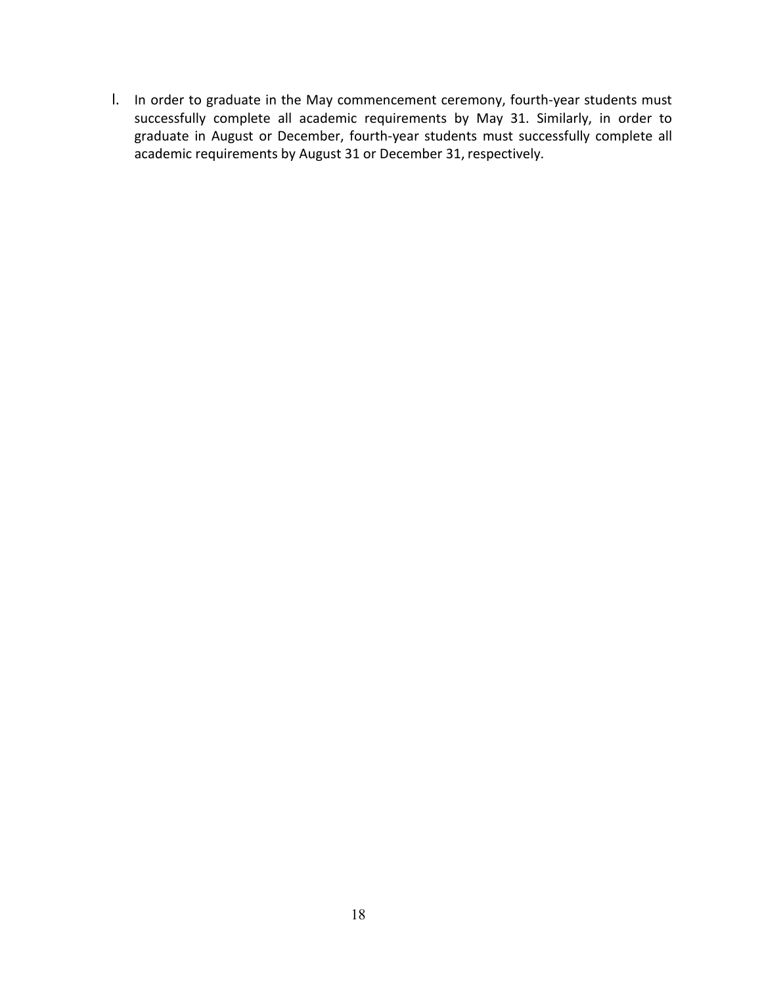l. In order to graduate in the May commencement ceremony, fourth-year students must successfully complete all academic requirements by May 31. Similarly, in order to graduate in August or December, fourth-year students must successfully complete all academic requirements by August 31 or December 31, respectively.